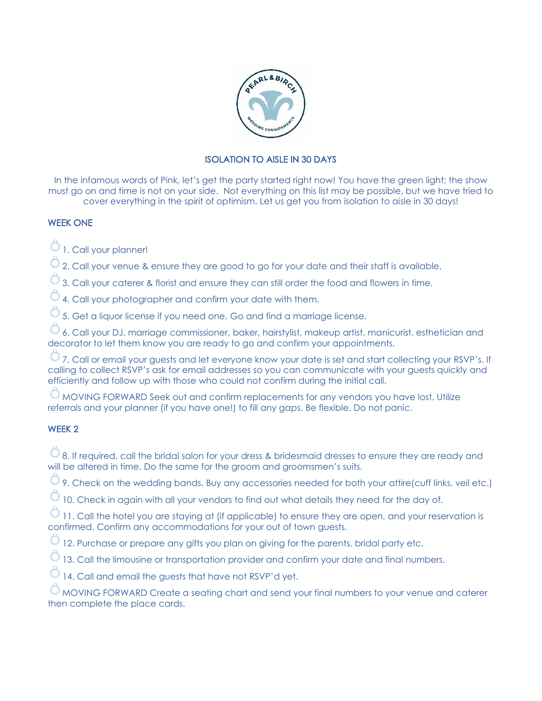

# ISOLATION TO AISLE IN 30 DAYS

In the infamous words of Pink, let's get the party started right now! You have the green light; the show must go on and time is not on your side. Not everything on this list may be possible, but we have tried to cover everything in the spirit of optimism. Let us get you from isolation to aisle in 30 days!

### WEEK ONE

 $\hat{\circ}$  1. Call your planner!

 $\heartsuit$  2. Call your venue & ensure they are good to go for your date and their staff is available.

 $\hat{\circ}$  3. Call your caterer & florist and ensure they can still order the food and flowers in time.

 $\overline{\circlearrowright}$  4. Call your photographer and confirm your date with them.

 $\overline{\heartsuit}$  5. Get a liquor license if you need one. Go and find a marriage license.

 $\overline{\heartsuit}$  6. Call your DJ, marriage commissioner, baker, hairstylist, makeup artist, manicurist, esthetician and decorator to let them know you are ready to go and confirm your appointments.

 $\heartsuit$  7. Call or email your guests and let everyone know your date is set and start collecting your RSVP's. If calling to collect RSVP's ask for email addresses so you can communicate with your guests quickly and efficiently and follow up with those who could not confirm during the initial call.

 $\heartsuit$  MOVING FORWARD Seek out and confirm replacements for any vendors you have lost. Utilize referrals and your planner (if you have one!) to fill any gaps. Be flexible. Do not panic.

### WEEK 2

 $\overline{\circ}$  8. If required, call the bridal salon for your dress & bridesmaid dresses to ensure they are ready and will be altered in time. Do the same for the groom and groomsmen's suits.

 $\heartsuit$  9. Check on the wedding bands. Buy any accessories needed for both your attire(cuff links, veil etc.)

 $\overline{\heartsuit}$  10. Check in again with all your vendors to find out what details they need for the day of.

11. Call the hotel you are staying at (if applicable) to ensure they are open, and your reservation is confirmed. Confirm any accommodations for your out of town guests.

 $\circlearrowright$  12. Purchase or prepare any gifts you plan on giving for the parents, bridal party etc.

 $\hat{\heartsuit}$  13. Call the limousine or transportation provider and confirm your date and final numbers.

14. Call and email the guests that have not RSVP'd yet.

 $\circlearrowright$  MOVING FORWARD Create a seating chart and send your final numbers to your venue and caterer then complete the place cards.